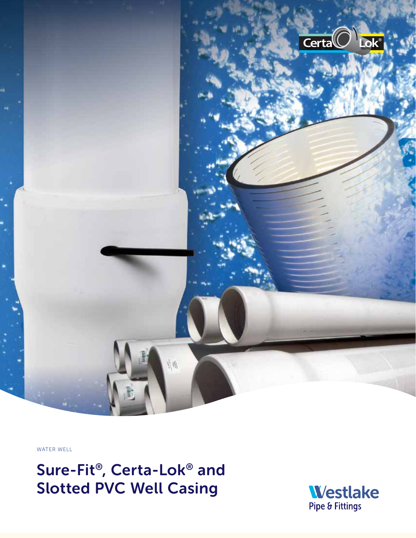

WATER WELL

Sure-Fit®, Certa-Lok® and Slotted PVC Well Casing

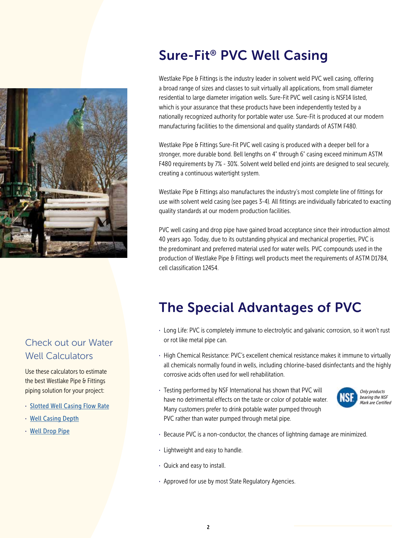

### Check out our Water Well Calculators

Use these calculators to estimate the best Westlake Pipe & Fittings piping solution for your project:

- · Slotted Well Casing Flow Rate
- · Well Casing Depth
- · Well Drop Pipe

# Sure-Fit® PVC Well Casing

Westlake Pipe & Fittings is the industry leader in solvent weld PVC well casing, offering a broad range of sizes and classes to suit virtually all applications, from small diameter residential to large diameter irrigation wells. Sure-Fit PVC well casing is NSF14 listed, which is your assurance that these products have been independently tested by a nationally recognized authority for portable water use. Sure-Fit is produced at our modern manufacturing facilities to the dimensional and quality standards of ASTM F480.

Westlake Pipe & Fittings Sure-Fit PVC well casing is produced with a deeper bell for a stronger, more durable bond. Bell lengths on 4" through 6" casing exceed minimum ASTM F480 requirements by 7% - 30%. Solvent weld belled end joints are designed to seal securely, creating a continuous watertight system.

Westlake Pipe & Fittings also manufactures the industry's most complete line of fittings for use with solvent weld casing (see pages 3-4). All fittings are individually fabricated to exacting quality standards at our modern production facilities.

PVC well casing and drop pipe have gained broad acceptance since their introduction almost 40 years ago. Today, due to its outstanding physical and mechanical properties, PVC is the predominant and preferred material used for water wells. PVC compounds used in the production of Westlake Pipe & Fittings well products meet the requirements of ASTM D1784, cell classification 12454.

# The Special Advantages of PVC

- · Long Life: PVC is completely immune to electrolytic and galvanic corrosion, so it won't rust or rot like metal pipe can.
- · High Chemical Resistance: PVC's excellent chemical resistance makes it immune to virtually all chemicals normally found in wells, including chlorine-based disinfectants and the highly corrosive acids often used for well rehabilitation.
- · Testing performed by NSF International has shown that PVC will have no detrimental effects on the taste or color of potable water. Many customers prefer to drink potable water pumped through PVC rather than water pumped through metal pipe.



- · Because PVC is a non-conductor, the chances of lightning damage are minimized.
- · Lightweight and easy to handle.
- · Quick and easy to install.
- · Approved for use by most State Regulatory Agencies.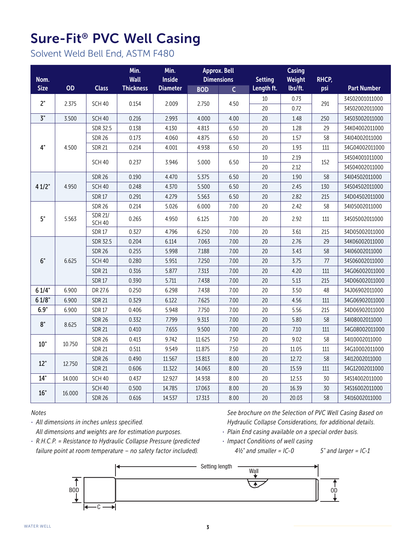# Sure-Fit® PVC Well Casing

Solvent Weld Bell End, ASTM F480

| Nom.        |        |                                 | Min.<br><b>Wall</b> | Min.<br><b>Inside</b> |            | <b>Approx. Bell</b><br><b>Dimensions</b> | <b>Setting</b> | <b>Casing</b><br>Weight | RHCP, |                    |
|-------------|--------|---------------------------------|---------------------|-----------------------|------------|------------------------------------------|----------------|-------------------------|-------|--------------------|
| <b>Size</b> | OD     | <b>Class</b>                    | <b>Thickness</b>    | <b>Diameter</b>       | <b>BOD</b> | $\overline{C}$                           | Length ft.     | lbs/ft.                 | psi   | <b>Part Number</b> |
| 2"          |        |                                 |                     |                       |            |                                          | 10             | 0.73                    |       | 34S02001011000     |
|             | 2.375  | <b>SCH 40</b>                   | 0.154               | 2.009                 | 2.750      | 4.50                                     | 20             | 0.72                    | 291   | 34S02002011000     |
| 3"          | 3.500  | SCH <sub>40</sub>               | 0.216               | 2.993                 | 4.000      | 4.00                                     | 20             | 1.48                    | 250   | 34S03002011000     |
|             |        | SDR 32.5                        | 0.138               | 4.130                 | 4.813      | 6.50                                     | 20             | 1.28                    | 29    | 34K04002011000     |
|             |        | <b>SDR 26</b>                   | 0.173               | 4.060                 | 4.875      | 6.50                                     | 20             | 1.57                    | 58    | 34l04002011000     |
| 4"          | 4.500  | <b>SDR 21</b>                   | 0.214               | 4.001                 | 4.938      | 6.50                                     | 20             | 1.93                    | 111   | 34G04002011000     |
|             |        | <b>SCH 40</b>                   | 0.237               | 3.946                 | 5.000      | 6.50                                     | 10             | 2.19                    | 152   | 34S04001011000     |
|             |        |                                 |                     |                       |            |                                          | 20             | 2.12                    |       | 34S04002011000     |
|             |        | <b>SDR 26</b>                   | 0.190               | 4.470                 | 5.375      | 6.50                                     | 20             | 1.90                    | 58    | 34104502011000     |
| 41/2"       | 4.950  | <b>SCH 40</b>                   | 0.248               | 4.370                 | 5.500      | 6.50                                     | 20             | 2.45                    | 130   | 34S04502011000     |
|             |        | <b>SDR17</b>                    | 0.291               | 4.279                 | 5.563      | 6.50                                     | 20             | 2.82                    | 215   | 34D04502011000     |
|             |        | <b>SDR 26</b>                   | 0.214               | 5.026                 | 6.000      | 7.00                                     | 20             | 2.42                    | 58    | 34l05002011000     |
| 5"          | 5.563  | <b>SDR 21/</b><br><b>SCH 40</b> | 0.265               | 4.950                 | 6.125      | 7.00                                     | 20             | 2.92                    | 111   | 34S05002011000     |
|             |        | <b>SDR17</b>                    | 0.327               | 4.796                 | 6.250      | 7.00                                     | 20             | 3.61                    | 215   | 34D05002011000     |
|             |        | <b>SDR 32.5</b>                 | 0.204               | 6.114                 | 7.063      | 7.00                                     | 20             | 2.76                    | 29    | 34K06002011000     |
|             |        | <b>SDR 26</b>                   | 0.255               | 5.998                 | 7.188      | 7.00                                     | 20             | 3.43                    | 58    | 34l06002011000     |
| 6"          | 6.625  | <b>SCH 40</b>                   | 0.280               | 5.951                 | 7.250      | 7.00                                     | 20             | 3.75                    | 77    | 34S06002011000     |
|             |        | <b>SDR 21</b>                   | 0.316               | 5.877                 | 7.313      | 7.00                                     | 20             | 4.20                    | 111   | 34G06002011000     |
|             |        | <b>SDR17</b>                    | 0.390               | 5.711                 | 7.438      | 7.00                                     | 20             | 5.13                    | 215   | 34D06002011000     |
| 61/4"       | 6.900  | DR 27.6                         | 0.250               | 6.298                 | 7.438      | 7.00                                     | 20             | 3.50                    | 48    | 34J06902011000     |
| 61/8"       | 6.900  | <b>SDR 21</b>                   | 0.329               | 6.122                 | 7.625      | 7.00                                     | 20             | 4.56                    | 111   | 34G06902011000     |
| 6.9"        | 6.900  | <b>SDR17</b>                    | 0.406               | 5.948                 | 7.750      | 7.00                                     | 20             | 5.56                    | 215   | 34D06902011000     |
| 8"          | 8.625  | <b>SDR 26</b>                   | 0.332               | 7.799                 | 9.313      | 7.00                                     | 20             | 5.80                    | 58    | 34108002011000     |
|             |        | <b>SDR 21</b>                   | 0.410               | 7.655                 | 9.500      | 7.00                                     | 20             | 7.10                    | 111   | 34G08002011000     |
| 10"         | 10.750 | <b>SDR 26</b>                   | 0.413               | 9.742                 | 11.625     | 7.50                                     | 20             | 9.02                    | 58    | 34l10002011000     |
|             |        | <b>SDR 21</b>                   | 0.511               | 9.549                 | 11.875     | 7.50                                     | 20             | 11.05                   | 111   | 34G10002011000     |
| 12"         | 12.750 | <b>SDR 26</b>                   | 0.490               | 11.567                | 13.813     | 8.00                                     | 20             | 12.72                   | 58    | 34l12002011000     |
|             |        | <b>SDR 21</b>                   | 0.606               | 11.322                | 14.063     | 8.00                                     | 20             | 15.59                   | 111   | 34G12002011000     |
| 14"         | 14.000 | <b>SCH 40</b>                   | 0.437               | 12.927                | 14.938     | 8.00                                     | 20             | 12.53                   | 30    | 34S14002011000     |
| 16"         | 16.000 | SCH <sub>40</sub>               | 0.500               | 14.785                | 17.063     | 8.00                                     | 20             | 16.39                   | 30    | 34S16002011000     |
|             |        | <b>SDR 26</b>                   | 0.616               | 14.537                | 17.313     | 8.00                                     | 20             | 20.03                   | 58    | 34l16002011000     |

*Notes*

· *All dimensions in inches unless specified. All dimensions and weights are for estimation purposes.* *See brochure on the Selection of PVC Well Casing Based on Hydraulic Collapse Considerations, for additional details.*

- · *Plain End casing available on a special order basis.*
- · *R.H.C.P. = Resistance to Hydraulic Collapse Pressure (predicted failure point at room temperature – no safety factor included).*
- · *Impact Conditions of well casing 4½" and smaller = IC-0 5" and larger = IC-1*

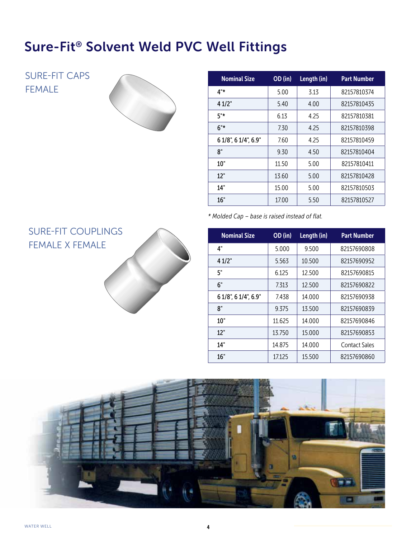## Sure-Fit® Solvent Weld PVC Well Fittings

SURE-FIT CAPS FEMALE



| <b>Nominal Size</b>  | OD (in) | Length (in) | <b>Part Number</b> |
|----------------------|---------|-------------|--------------------|
| 4"*                  | 5.00    | 3.13        | 82157810374        |
| 41/2"                | 5.40    | 4.00        | 82157810435        |
| 5"*                  | 6.13    | 4.25        | 82157810381        |
| $6"$ *               | 7.30    | 4.25        | 82157810398        |
| 6 1/8", 6 1/4", 6.9" | 7.60    | 4.25        | 82157810459        |
| 8"                   | 9.30    | 4.50        | 82157810404        |
| 10"                  | 11.50   | 5.00        | 82157810411        |
| 12"                  | 13.60   | 5.00        | 82157810428        |
| 14"                  | 15.00   | 5.00        | 82157810503        |
| 16"                  | 17.00   | 5.50        | 82157810527        |

*\* Molded Cap – base is raised instead of flat.*

| <b>Nominal Size</b>  | OD (in) | Length (in) | <b>Part Number</b> |
|----------------------|---------|-------------|--------------------|
| 4"                   | 5.000   | 9.500       | 82157690808        |
| 41/2"                | 5.563   | 10.500      | 82157690952        |
| 5"                   | 6.125   | 12.500      | 82157690815        |
| 6"                   | 7.313   | 12.500      | 82157690822        |
| 6 1/8", 6 1/4", 6.9" | 7438    | 14.000      | 82157690938        |
| 8"                   | 9.375   | 13.500      | 82157690839        |
| 10"                  | 11.625  | 14.000      | 82157690846        |
| 12"                  | 13.750  | 15.000      | 82157690853        |
| 14"                  | 14.875  | 14.000      | Contact Sales      |
| 16"                  | 17.125  | 15.500      | 82157690860        |

### SURE-FIT COUPLINGS FEMALE X FEMALE

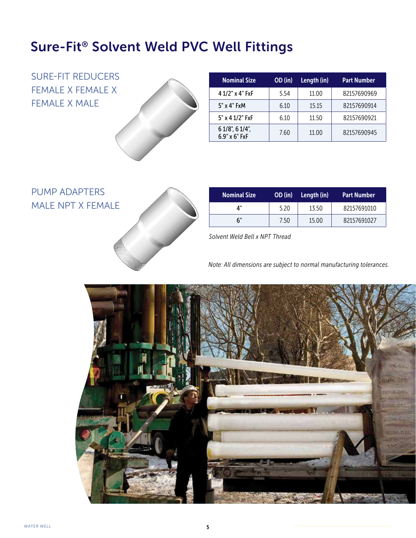### Sure-Fit® Solvent Weld PVC Well Fittings

SURE-FIT REDUCERS FEMALE X FEMALE X FEMALE X MALE



| <b>Nominal Size</b>                         | OD (in) | Length (in) | <b>Part Number</b> |
|---------------------------------------------|---------|-------------|--------------------|
| 4 1/2" x 4" FxF                             | 5.54    | 11.00       | 82157690969        |
| 5" x 4" FxM                                 | 6.10    | 15.15       | 82157690914        |
| 5" x 4 1/2" FxF                             | 6.10    | 11.50       | 82157690921        |
| $61/8$ ", $61/4$ ",<br>$6.9" \times 6"$ FxF | 7.60    | 11.00       | 82157690945        |

### PUMP ADAPTERS MALE NPT X FEMALE



| <b>Nominal Size</b> | OD (in) | Length (in) | <b>Part Number</b> |
|---------------------|---------|-------------|--------------------|
| Δ"                  | 5.20    | 13.50       | 82157691010        |
| 6"                  | 7.50    | 15.00       | 82157691027        |

*Solvent Weld Bell x NPT Thread*

*Note: All dimensions are subject to normal manufacturing tolerances.*

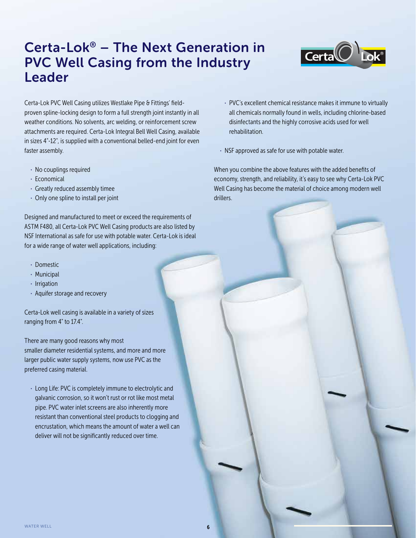### Certa-Lok® – The Next Generation in PVC Well Casing from the Industry Leader



Certa-Lok PVC Well Casing utilizes Westlake Pipe & Fittings' fieldproven spline-locking design to form a full strength joint instantly in all weather conditions. No solvents, arc welding, or reinforcement screw attachments are required. Certa-Lok Integral Bell Well Casing, available in sizes 4"-12", is supplied with a conventional belled-end joint for even faster assembly.

- · No couplings required
- · Economical
- · Greatly reduced assembly timee
- · Only one spline to install per joint

Designed and manufactured to meet or exceed the requirements of ASTM F480, all Certa-Lok PVC Well Casing products are also listed by NSF International as safe for use with potable water. Certa-Lok is ideal for a wide range of water well applications, including:

- · Domestic
- · Municipal
- · Irrigation
- · Aquifer storage and recovery

Certa-Lok well casing is available in a variety of sizes ranging from 4" to 17.4".

There are many good reasons why most smaller diameter residential systems, and more and more larger public water supply systems, now use PVC as the preferred casing material.

· Long Life: PVC is completely immune to electrolytic and galvanic corrosion, so it won't rust or rot like most metal pipe. PVC water inlet screens are also inherently more resistant than conventional steel products to clogging and encrustation, which means the amount of water a well can deliver will not be significantly reduced over time.

- · PVC's excellent chemical resistance makes it immune to virtually all chemicals normally found in wells, including chlorine-based disinfectants and the highly corrosive acids used for well rehabilitation.
- · NSF approved as safe for use with potable water.

When you combine the above features with the added benefits of economy, strength, and reliability, it's easy to see why Certa-Lok PVC Well Casing has become the material of choice among modern well drillers.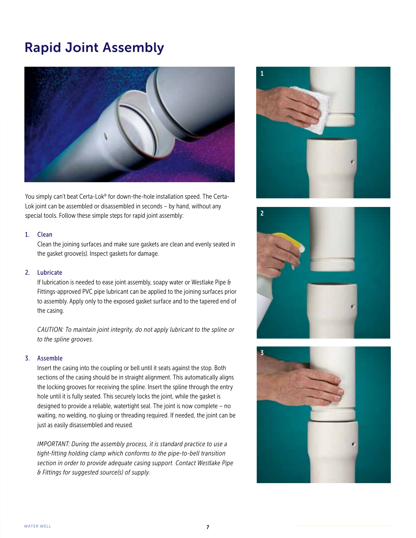### Rapid Joint Assembly



You simply can't beat Certa-Lok® for down-the-hole installation speed. The Certa-Lok joint can be assembled or disassembled in seconds – by hand, without any special tools. Follow these simple steps for rapid joint assembly:

#### 1. Clean

Clean the joining surfaces and make sure gaskets are clean and evenly seated in the gasket groove(s). Inspect gaskets for damage.

#### 2. Lubricate

If lubrication is needed to ease joint assembly, soapy water or Westlake Pipe & Fittings-approved PVC pipe lubricant can be applied to the joining surfaces prior to assembly. Apply only to the exposed gasket surface and to the tapered end of the casing.

*CAUTION: To maintain joint integrity, do not apply lubricant to the spline or to the spline grooves.* 

#### 3. Assemble

Insert the casing into the coupling or bell until it seats against the stop. Both sections of the casing should be in straight alignment. This automatically aligns the locking grooves for receiving the spline. Insert the spline through the entry hole until it is fully seated. This securely locks the joint, while the gasket is designed to provide a reliable, watertight seal. The joint is now complete – no waiting, no welding, no gluing or threading required. If needed, the joint can be just as easily disassembled and reused.

 *IMPORTANT: During the assembly process, it is standard practice to use a tight-fitting holding clamp which conforms to the pipe-to-bell transition section in order to provide adequate casing support. Contact Westlake Pipe & Fittings for suggested source(s) of supply.*





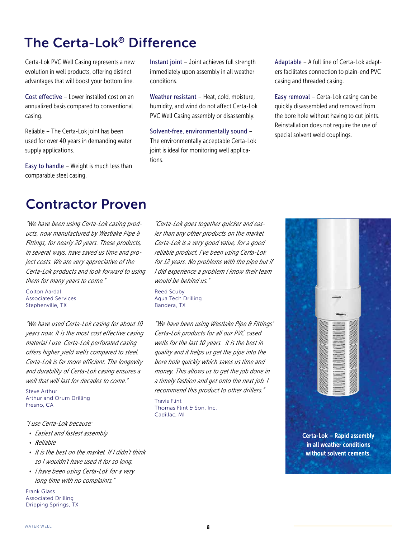### The Certa-Lok® Difference

Certa-Lok PVC Well Casing represents a new evolution in well products, offering distinct advantages that will boost your bottom line.

Cost effective – Lower installed cost on an annualized basis compared to conventional casing.

Reliable – The Certa-Lok joint has been used for over 40 years in demanding water supply applications.

Easy to handle – Weight is much less than comparable steel casing.

Instant joint – Joint achieves full strength immediately upon assembly in all weather conditions.

Weather resistant - Heat, cold, moisture, humidity, and wind do not affect Certa-Lok PVC Well Casing assembly or disassembly.

Solvent-free, environmentally sound – The environmentally acceptable Certa-Lok joint is ideal for monitoring well applications.

Adaptable – A full line of Certa-Lok adapters facilitates connection to plain-end PVC casing and threaded casing.

Easy removal – Certa-Lok casing can be quickly disassembled and removed from the bore hole without having to cut joints. Reinstallation does not require the use of special solvent weld couplings.

### Contractor Proven

*"We have been using Certa-Lok casing products, now manufactured by Westlake Pipe & Fittings, for nearly 20 years. These products, in several ways, have saved us time and project costs. We are very appreciative of the Certa-Lok products and look forward to using them for many years to come."*

Colton Aardal Associated Services Stephenville, TX

*"We have used Certa-Lok casing for about 10 years now. It is the most cost effective casing material I use. Certa-Lok perforated casing offers higher yield wells compared to steel. Certa-Lok is far more efficient. The longevity and durability of Certa-Lok casing ensures a well that will last for decades to come."*

Steve Arthur Arthur and Orum Drilling Fresno, CA

#### *"I use Certa-Lok because:*

- *Easiest and fastest assembly*
- *Reliable*
- *It is the best on the market. If I didn't think so I wouldn't have used it for so long.*
- *I have been using Certa-Lok for a very long time with no complaints."*

Frank Glass Associated Drilling Dripping Springs, TX

*"Certa-Lok goes together quicker and easier than any other products on the market. Certa-Lok is a very good value, for a good reliable product. I've been using Certa-Lok for 12 years. No problems with the pipe but if I did experience a problem I know their team would be behind us."*

Reed Scuby Aqua Tech Drilling Bandera, TX

*"We have been using Westlake Pipe & Fittings' Certa-Lok products for all our PVC cased wells for the last 10 years. It is the best in quality and it helps us get the pipe into the bore hole quickly which saves us time and money. This allows us to get the job done in a timely fashion and get onto the next job. I recommend this product to other drillers."*

Travis Flint Thomas Flint & Son, Inc. Cadillac, MI

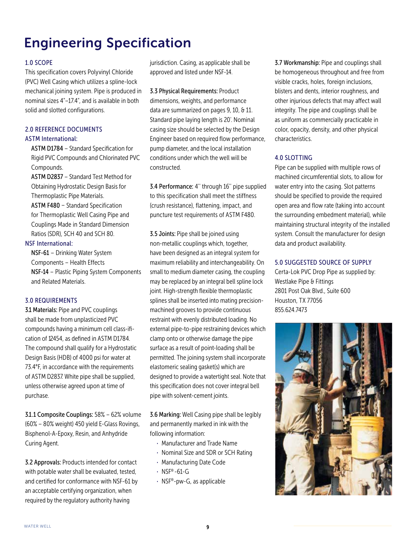# Engineering Specification

#### 1.0 SCOPE

This specification covers Polyvinyl Chloride (PVC) Well Casing which utilizes a spline-lock mechanical joining system. Pipe is produced in nominal sizes 4"-17.4", and is available in both solid and slotted configurations.

#### 2.0 REFERENCE DOCUMENTS ASTM International:

ASTM D1784 – Standard Specification for Rigid PVC Compounds and Chlorinated PVC Compounds.

ASTM D2837 – Standard Test Method for Obtaining Hydrostatic Design Basis for Thermoplastic Pipe Materials.

ASTM F480 – Standard Specification for Thermoplastic Well Casing Pipe and Couplings Made in Standard Dimension Ratios (SDR), SCH 40 and SCH 80.

#### NSF International:

NSF-61 – Drinking Water System Components – Health Effects NSF-14 – Plastic Piping System Components and Related Materials.

#### 3.0 REQUIREMENTS

31 Materials: Pipe and PVC couplings shall be made from unplasticized PVC compounds having a minimum cell class-ification of 12454, as defined in ASTM D1784. The compound shall qualify for a Hydrostatic Design Basis (HDB) of 4000 psi for water at 73.4°F, in accordance with the requirements of ASTM D2837. White pipe shall be supplied, unless otherwise agreed upon at time of purchase.

31.1 Composite Couplings: 58% - 62% volume (60% – 80% weight) 450 yield E-Glass Rovings, Bisphenol-A-Epoxy, Resin, and Anhydride Curing Agent.

3.2 Approvals: Products intended for contact with potable water shall be evaluated, tested, and certified for conformance with NSF-61 by an acceptable certifying organization, when required by the regulatory authority having

jurisdiction. Casing, as applicable shall be approved and listed under NSF-14.

3.3 Physical Requirements: Product dimensions, weights, and performance data are summarized on pages 9, 10, & 11. Standard pipe laying length is 20'. Nominal casing size should be selected by the Design Engineer based on required flow performance, pump diameter, and the local installation conditions under which the well will be constructed.

3.4 Performance: 4'' through 16'' pipe supplied to this specification shall meet the stiffness (crush resistance), flattening, impact, and puncture test requirements of ASTM F480.

3.5 Joints: Pipe shall be joined using non-metallic couplings which, together, have been designed as an integral system for maximum reliability and interchangeability. On small to medium diameter casing, the coupling may be replaced by an integral bell spline lock joint. High-strength flexible thermoplastic splines shall be inserted into mating precisionmachined grooves to provide continuous restraint with evenly distributed loading. No external pipe-to-pipe restraining devices which clamp onto or otherwise damage the pipe surface as a result of point-loading shall be permitted. The joining system shall incorporate elastomeric sealing gasket(s) which are designed to provide a watertight seal. Note that this specification does not cover integral bell pipe with solvent-cement joints.

3.6 Marking: Well Casing pipe shall be legibly and permanently marked in ink with the following information:

- · Manufacturer and Trade Name
- · Nominal Size and SDR or SCH Rating
- · Manufacturing Date Code
- $\cdot$  NSF®-61-G
- · NSF®-pw-G, as applicable

3.7 Workmanship: Pipe and couplings shall be homogeneous throughout and free from visible cracks, holes, foreign inclusions, blisters and dents, interior roughness, and other injurious defects that may affect wall integrity. The pipe and couplings shall be as uniform as commercially practicable in color, opacity, density, and other physical characteristics.

#### 4.0 SLOTTING

Pipe can be supplied with multiple rows of machined circumferential slots, to allow for water entry into the casing. Slot patterns should be specified to provide the required open area and flow rate (taking into account the surrounding embedment material), while maintaining structural integrity of the installed system. Consult the manufacturer for design data and product availability.

#### 5.0 SUGGESTED SOURCE OF SUPPLY

Certa-Lok PVC Drop Pipe as supplied by: Westlake Pipe & Fittings 2801 Post Oak Blvd., Suite 600 Houston, TX 77056 855.624.7473

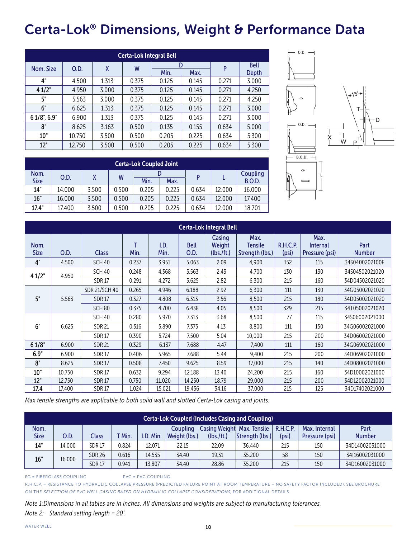## Certa-Lok® Dimensions, Weight & Performance Data

|                   | <b>Certa-Lok Integral Bell</b> |       |       |              |       |       |             |  |  |  |  |
|-------------------|--------------------------------|-------|-------|--------------|-------|-------|-------------|--|--|--|--|
|                   |                                |       |       |              | D     |       | <b>Bell</b> |  |  |  |  |
| Nom. Size         | O.D.                           | X     | W     | Min.<br>Max. | P     | Depth |             |  |  |  |  |
| 4"                | 4.500                          | 1.313 | 0.375 | 0.125        | 0.145 | 0.271 | 3.000       |  |  |  |  |
| 41/2"             | 4.950                          | 3.000 | 0.375 | 0.125        | 0.145 | 0.271 | 4.250       |  |  |  |  |
| 5"                | 5.563                          | 3.000 | 0.375 | 0.125        | 0.145 | 0.271 | 4.250       |  |  |  |  |
| 6"                | 6.625                          | 1.313 | 0.375 | 0.125        | 0.145 | 0.271 | 3.000       |  |  |  |  |
| $61/8$ ", $6.9$ " | 6.900                          | 1.313 | 0.375 | 0.125        | 0.145 | 0.271 | 3.000       |  |  |  |  |
| 8"                | 8.625                          | 3.163 | 0.500 | 0.135        | 0.155 | 0.634 | 5.000       |  |  |  |  |
| 10"               | 10.750                         | 3.500 | 0.500 | 0.205        | 0.225 | 0.634 | 5.300       |  |  |  |  |
| 12"               | 12.750                         | 3.500 | 0.500 | 0.205        | 0.225 | 0.634 | 5.300       |  |  |  |  |

|             | <b>Certa-Lok Coupled Joint</b> |       |       |       |       |       |          |               |  |  |  |
|-------------|--------------------------------|-------|-------|-------|-------|-------|----------|---------------|--|--|--|
| Nom.        | <b>O.D.</b>                    |       | W     | D     |       |       | Coupling |               |  |  |  |
| <b>Size</b> |                                |       |       | Min.  | Max.  |       |          | <b>B.O.D.</b> |  |  |  |
| 14"         | 14.000                         | 3.500 | 0.500 | 0.205 | 0.225 | 0.634 | 12.000   | 16.000        |  |  |  |
| 16"         | 16.000                         | 3.500 | 0.500 | 0.205 | 0.225 | 0.634 | 12.000   | 17.400        |  |  |  |
| 17.4"       | 17.400                         | 3.500 | 0.500 | 0.205 | 0.225 | 0.634 | 12.000   | 18.701        |  |  |  |



|                     | <b>Certa-Lok Integral Bell</b> |                      |           |              |                     |                                |                                           |                   |                                           |                       |  |
|---------------------|--------------------------------|----------------------|-----------|--------------|---------------------|--------------------------------|-------------------------------------------|-------------------|-------------------------------------------|-----------------------|--|
| Nom.<br><b>Size</b> | O.D.                           | <b>Class</b>         | т<br>Min. | I.D.<br>Min. | <b>Bell</b><br>O.D. | Casing<br>Weight<br>(lbs./ft.) | Max.<br><b>Tensile</b><br>Strength (lbs.) | R.H.C.P.<br>(psi) | Max.<br><b>Internal</b><br>Pressure (psi) | Part<br><b>Number</b> |  |
| 4"                  | 4.500                          | <b>SCH 40</b>        | 0.237     | 3.951        | 5.063               | 2.09                           | 4.900                                     | 152               | 115                                       | 34S0400202100F        |  |
| 41/2"               | 4.950                          | <b>SCH 40</b>        | 0.248     | 4.368        | 5.563               | 2.43                           | 4,700                                     | 130               | 130                                       | 34S04502021020        |  |
|                     |                                | <b>SDR17</b>         | 0.291     | 4.272        | 5.625               | 2.82                           | 6,300                                     | 215               | 160                                       | 34D04502021020        |  |
|                     |                                | <b>SDR 21/SCH 40</b> | 0.265     | 4.946        | 6.188               | 2.92                           | 6,300                                     | 111               | 130                                       | 34G05002021020        |  |
| 5"                  | 5.563                          | <b>SDR17</b>         | 0.327     | 4.808        | 6.313               | 3.56                           | 8,500                                     | 215               | 180                                       | 34D05002021020        |  |
|                     |                                | SCH <sub>80</sub>    | 0.375     | 4.700        | 6.438               | 4.05                           | 8,500                                     | 329               | 215                                       | 34T05002021020        |  |
|                     |                                | <b>SCH 40</b>        | 0.280     | 5.970        | 7.313               | 3.68                           | 8,500                                     | 77                | 115                                       | 34S06002021000        |  |
| 6"                  | 6.625                          | <b>SDR 21</b>        | 0.316     | 5.890        | 7.375               | 4.13                           | 8,800                                     | 111               | 150                                       | 34G06002021000        |  |
|                     |                                | <b>SDR17</b>         | 0.390     | 5.724        | 7.500               | 5.04                           | 10,000                                    | 215               | 200                                       | 34D06002021000        |  |
| 61/8"               | 6.900                          | <b>SDR 21</b>        | 0.329     | 6.137        | 7.688               | 4.47                           | 7,400                                     | 111               | 160                                       | 34G06902021000        |  |
| 6.9"                | 6.900                          | <b>SDR17</b>         | 0.406     | 5.965        | 7.688               | 5.44                           | 9,400                                     | 215               | 200                                       | 34D06902021000        |  |
| 8"                  | 8.625                          | <b>SDR17</b>         | 0.508     | 7.450        | 9.625               | 8.59                           | 17,000                                    | 215               | 140                                       | 34D08002021000        |  |
| 10"                 | 10.750                         | <b>SDR17</b>         | 0.632     | 9.294        | 12.188              | 13.40                          | 24,200                                    | 215               | 160                                       | 34D10002021000        |  |
| 12"                 | 12.750                         | <b>SDR17</b>         | 0.750     | 11.020       | 14.250              | 18.79                          | 29,000                                    | 215               | 200                                       | 34D12002021000        |  |
| 17.4                | 17.400                         | <b>SDR17</b>         | 1.024     | 15.021       | 19.456              | 34.16                          | 37.000                                    | 215               | 125                                       | 34D17402021000        |  |

*Max tensile strengths are applicable to both solid wall and slotted Certa-Lok casing and joints.*

|              | <b>Certa-Lok Coupled (Includes Casing and Coupling)</b> |               |        |           |                                  |                                          |                 |                          |                                 |                       |  |
|--------------|---------------------------------------------------------|---------------|--------|-----------|----------------------------------|------------------------------------------|-----------------|--------------------------|---------------------------------|-----------------------|--|
| Nom.<br>Size | O.D.                                                    | Class         | T Min. | I.D. Min. | Coupling<br><b>Weight (lbs.)</b> | Casing Weight Max. Tensile<br>(lbs./ft.) | Strength (lbs.) | <b>R.H.C.P.</b><br>(psi) | Max. Internal<br>Pressure (psi) | Part<br><b>Number</b> |  |
| 14"          | 14.000                                                  | <b>SDR17</b>  | 0.824  | 12.071    | 22.15                            | 22.09                                    | 36.440          | 215                      | 150                             | 34D14002031000        |  |
| 16"          | 16.000                                                  | <b>SDR 26</b> | 0.616  | 14.535    | 34.40                            | 19.31                                    | 35.200          | 58                       | 150                             | 34116002031000        |  |
|              |                                                         | <b>SDR17</b>  | 0.941  | 13.807    | 34.40                            | 28.86                                    | 35,200          | 215                      | 150                             | 34D16002031000        |  |

FG = FIBERGLASS COUPLING PVC = PVC COUPLING

R.H.C.P. = RESISTANCE TO HYDRAULIC COLLAPSE PRESSURE (PREDICTED FAILURE POINT AT ROOM TEMPERATURE – NO SAFETY FACTOR INCLUDED). SEE BROCHURE ON THE SELECTION OF PVC WELL CASING BASED ON HYDRAULIC COLLAPSE CONSIDERATIONS, FOR ADDITIONAL DETAILS.

*Note 1:Dimensions in all tables are in inches. All dimensions and weights are subject to manufacturing tolerances. Note 2: Standard setting length = 20'.*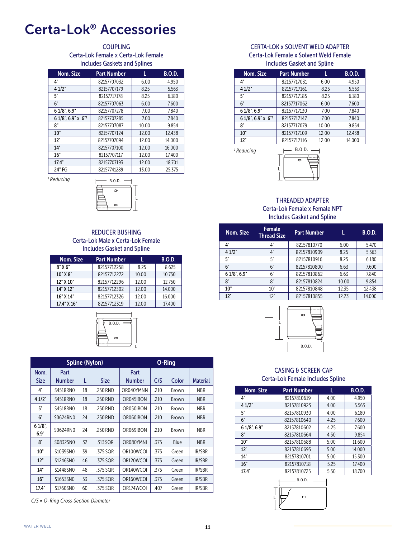### Certa-Lok® Accessories

#### **COUPLING** Certa-Lok Female x Certa-Lok Female Includes Gaskets and Splines

| Nom. Size          | <b>Part Number</b> | L     | <b>B.O.D.</b> |
|--------------------|--------------------|-------|---------------|
| 4"                 | 82157707032        | 6.00  | 4.950         |
| 4 1/2"             | 82157707179        | 8.25  | 5.563         |
| 5"                 | 82157717178        | 8.25  | 6.180         |
| 6"                 | 82157707063        | 6.00  | 7.600         |
| 6 1/8", 6.9"       | 82157707278        | 7.00  | 7.840         |
| 6 1/8", 6.9" x 6"1 | 82157707285        | 7.00  | 7.840         |
| 8"                 | 82157707087        | 10.00 | 9.854         |
| 10"                | 82157707124        | 12.00 | 12.438        |
| 12"                | 82157707094        | 12.00 | 14.000        |
| 14"                | 82157707100        | 12.00 | 16.000        |
| 16"                | 82157707117        | 12.00 | 17.400        |
| 17.4"              | 82157707193        | 12.00 | 18.701        |
| 24" FG             | 82157741289        | 13.00 | 25.375        |

*1 Reducing*



#### REDUCER BUSHING Certa-Lok Male x Certa-Lok Female Includes Gasket and Spline

| Nom. Size   | <b>Part Number</b> |       | <b>B.O.D.</b> |
|-------------|--------------------|-------|---------------|
| 8"X6"       | 82157712258        | 825   | 8.625         |
| 10" X 8"    | 82157712272        | 10.00 | 10.750        |
| 12" X 10"   | 82157712296        | 12.00 | 12.750        |
| 14" X 12"   | 82157712302        | 12.00 | 14.000        |
| 16" X 14"   | 82157712326        | 12.00 | 16.000        |
| 17.4" X 16" | 82157712319        | 12.00 | 17.400        |



|                     |                |    | <b>Spline (Nylon)</b> |                |      | O-Ring       |                 |
|---------------------|----------------|----|-----------------------|----------------|------|--------------|-----------------|
| Nom.<br><b>Size</b> | Part<br>Number | L  | Size                  | Part<br>Number | C/S  | Color        | <b>Material</b> |
| 4"                  | S4518RN0       | 18 | .250 RND              | OR040YMNN      | .210 | Brown        | <b>NBR</b>      |
| 41/2"               | S4518RN0       | 18 | .250 RND              | OR045IBON      | .210 | <b>Brown</b> | <b>NBR</b>      |
| 5"                  | S4518RN0       | 18 | .250 RND              | OR050IBON      | .210 | Brown        | <b>NBR</b>      |
| 6"                  | S0624RN0       | 24 | .250 RND              | OR060IBON      | .210 | <b>Brown</b> | <b>NBR</b>      |
| $61/8$ ",<br>6.9"   | S0624RN0       | 24 | .250 RND              | OR069IBON      | .210 | <b>Brown</b> | <b>NBR</b>      |
| 8"                  | S0832SN0       | 32 | .313 SQR              | OR080YMNI      | .375 | Blue         | <b>NBR</b>      |
| 10"                 | S1039SN0       | 39 | .375 SQR              | OR100WCOI      | .375 | Green        | IR/SBR          |
| 12"                 | S1246SN0       | 46 | .375 SQR              | OR120WCOI      | .375 | Green        | IR/SBR          |
| 14"                 | S1448SN0       | 48 | .375 SQR              | OR140WCOI      | .375 | Green        | IR/SBR          |
| 16"                 | S1653SN0       | 53 | .375 SQR              | OR160WCOI      | .375 | Green        | IR/SBR          |
| 17.4"               | S1760SN0       | 60 | .375 SQR              | OR174WCOI      | .407 | Green        | IR/SBR          |

*C/S = O-Ring Cross-Section Diameter* 

#### CERTA-LOK x SOLVENT WELD ADAPTER Certa-Lok Female x Solvent Weld Female Includes Gasket and Spline

| Nom. Size          | <b>Part Number</b> |       | <b>B.O.D.</b> |
|--------------------|--------------------|-------|---------------|
| 4"                 | 82157717031        | 6.00  | 4.950         |
| 41/2"              | 82157717161        | 8.25  | 5.563         |
| 5"                 | 82157717185        | 8.25  | 6.180         |
| 6"                 | 82157717062        | 6.00  | 7.600         |
| $61/8$ ", $6.9$ "  | 82157717130        | 7.00  | 7.840         |
| 6 1/8", 6.9" x 6"1 | 82157717147        | 7.00  | 7.840         |
| ጸ"                 | 82157717079        | 10.00 | 9.854         |
| 10"                | 82157717109        | 12.00 | 12.438        |
| 12"                | 82157717116        | 12.00 | 14.000        |

*1 Reducing*



#### THREADED ADAPTER Certa-Lok Female x Female NPT Includes Gasket and Spline

| Nom. Size        | <b>Female</b><br><b>Thread Size</b> | <b>Part Number</b> |       | <b>B.O.D.</b> |
|------------------|-------------------------------------|--------------------|-------|---------------|
| 4"               | 4"                                  | 82157810770        | 6.00  | 5.470         |
| 41/2"            | 4"                                  | 82157810909        | 8.25  | 5.563         |
| 5"               | 5"                                  | 82157810916        | 8.25  | 6.180         |
| 6"               | 6"                                  | 82157810800        | 6.63  | 7.600         |
| $61/8$ ", $6.9"$ | 6"                                  | 82157810862        | 6.63  | 7.840         |
| 8"               | 8"                                  | 82157810824        | 10.00 | 9.854         |
| 10"              | 10"                                 | 82157810848        | 12.35 | 12.438        |
| 12"              | 12"                                 | 82157810855        | 12.23 | 14.000        |



#### CASING & SCREEN CAP Certa-Lok Female Includes Spline

| Nom. Size         | <b>Part Number</b> | L    | <b>B.O.D.</b> |  |  |
|-------------------|--------------------|------|---------------|--|--|
| 4"                | 82157810619        | 4.00 | 4.950         |  |  |
| 41/2"             | 82157810923        | 4.00 | 5.563         |  |  |
| 5"                | 82157810930        | 4.00 | 6.180         |  |  |
| 6"                | 82157810640        | 4.25 | 7.600         |  |  |
| $61/8$ ", $6.9$ " | 82157810602        | 4.25 | 7.600         |  |  |
| 8"                | 82157810664        | 4.50 | 9.854         |  |  |
| 10"               | 82157810688        | 5.00 | 11.600        |  |  |
| 12"               | 82157810695        | 5.00 | 14.000        |  |  |
| 14"               | 82157810701        | 5.00 | 15.300        |  |  |
| 16"               | 82157810718        | 5.25 | 17.400        |  |  |
| 17.4"             | 82157810725        | 5.50 | 18.700        |  |  |

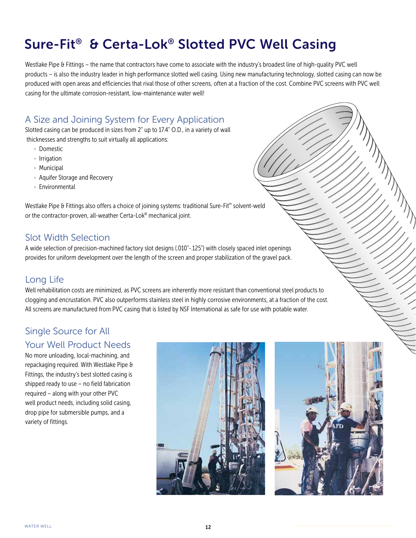## Sure-Fit® & Certa-Lok® Slotted PVC Well Casing

Westlake Pipe & Fittings – the name that contractors have come to associate with the industry's broadest line of high-quality PVC well products – is also the industry leader in high performance slotted well casing. Using new manufacturing technology, slotted casing can now be produced with open areas and efficiencies that rival those of other screens, often at a fraction of the cost. Combine PVC screens with PVC well casing for the ultimate corrosion-resistant, low-maintenance water well!

### A Size and Joining System for Every Application

Slotted casing can be produced in sizes from 2" up to 17.4" O.D., in a variety of wall thicknesses and strengths to suit virtually all applications:

- · Domestic
- · Irrigation
- · Municipal
- · Aquifer Storage and Recovery
- · Environmental

Westlake Pipe & Fittings also offers a choice of joining systems: traditional Sure-Fit™ solvent-weld or the contractor-proven, all-weather Certa-Lok® mechanical joint.

### Slot Width Selection

A wide selection of precision-machined factory slot designs (.010"-.125") with closely spaced inlet openings provides for uniform development over the length of the screen and proper stabilization of the gravel pack.

### Long Life

Well rehabilitation costs are minimized, as PVC screens are inherently more resistant than conventional steel products to clogging and encrustation. PVC also outperforms stainless steel in highly corrosive environments, at a fraction of the cost. All screens are manufactured from PVC casing that is listed by NSF International as safe for use with potable water.

### Single Source for All Your Well Product Needs

No more unloading, local-machining, and repackaging required. With Westlake Pipe & Fittings, the industry's best slotted casing is shipped ready to use – no field fabrication required – along with your other PVC well product needs, including solid casing, drop pipe for submersible pumps, and a variety of fittings.



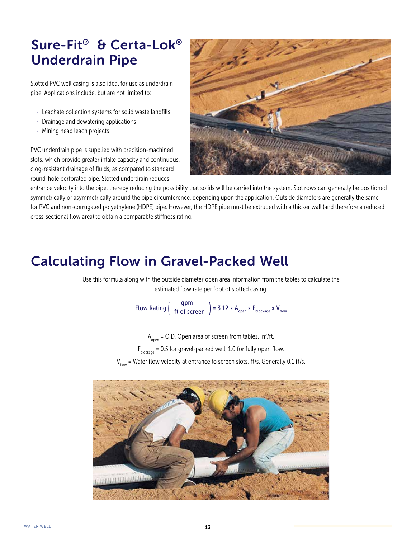## Sure-Fit® & Certa-Lok® Underdrain Pipe

Slotted PVC well casing is also ideal for use as underdrain pipe. Applications include, but are not limited to:

- · Leachate collection systems for solid waste landfills
- · Drainage and dewatering applications
- · Mining heap leach projects

PVC underdrain pipe is supplied with precision-machined slots, which provide greater intake capacity and continuous, clog-resistant drainage of fluids, as compared to standard round-hole perforated pipe. Slotted underdrain reduces



entrance velocity into the pipe, thereby reducing the possibility that solids will be carried into the system. Slot rows can generally be positioned symmetrically or asymmetrically around the pipe circumference, depending upon the application. Outside diameters are generally the same for PVC and non-corrugated polyethylene (HDPE) pipe. However, the HDPE pipe must be extruded with a thicker wall (and therefore a reduced cross-sectional flow area) to obtain a comparable stiffness rating.

### Calculating Flow in Gravel-Packed Well

Use this formula along with the outside diameter open area information from the tables to calculate the estimated flow rate per foot of slotted casing:

Flow Rating  $\left(\frac{gpm}{ft\ of\ screen}\right) = 3.12 \times A_{open} \times F_{blockage} \times V_{flow}$ 

 ${\sf A}_{_{\sf open}}$  = O.D. Open area of screen from tables, in<sup>2</sup>/ft.

 $F<sub>blockane</sub> = 0.5$  for gravel-packed well, 1.0 for fully open flow.

 $V_{flow}$  = Water flow velocity at entrance to screen slots, ft/s. Generally 0.1 ft/s.

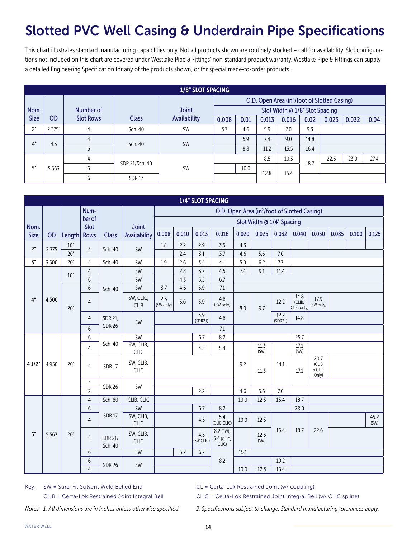## Slotted PVC Well Casing & Underdrain Pipe Specifications

This chart illustrates standard manufacturing capabilities only. Not all products shown are routinely stocked – call for availability. Slot configurations not included on this chart are covered under Westlake Pipe & Fittings' non-standard product warranty. Westlake Pipe & Fittings can supply a detailed Engineering Specification for any of the products shown, or for special made-to-order products.

|             | 1/8" SLOT SPACING |                  |                |                     |                                                          |      |       |                                |      |       |       |      |  |  |
|-------------|-------------------|------------------|----------------|---------------------|----------------------------------------------------------|------|-------|--------------------------------|------|-------|-------|------|--|--|
|             |                   |                  |                |                     | O.D. Open Area (in <sup>2</sup> /foot of Slotted Casing) |      |       |                                |      |       |       |      |  |  |
| Nom.        |                   | Number of        |                | <b>Joint</b>        |                                                          |      |       | Slot Width @ 1/8" Slot Spacing |      |       |       |      |  |  |
| <b>Size</b> | OD.               | <b>Slot Rows</b> | <b>Class</b>   | <b>Availability</b> | 0.008                                                    | 0.01 | 0.013 | 0.016                          | 0.02 | 0.025 | 0.032 | 0.04 |  |  |
| 2"          | 2.375"            | 4                | Sch. 40        | <b>SW</b>           | 3.7                                                      | 4.6  | 5.9   | 7.0                            | 9.3  |       |       |      |  |  |
| 4"          | 4.5               |                  |                | <b>SW</b>           |                                                          | 5.9  | 7.4   | 9.0                            | 14.8 |       |       |      |  |  |
|             |                   | 6                | Sch. 40        |                     |                                                          | 8.8  | 11.2  | 13.5                           | 16.4 |       |       |      |  |  |
|             |                   | 4                | SDR 21/Sch. 40 |                     |                                                          |      | 8.5   | 10.3                           | 18.7 | 22.6  | 23.0  | 27.4 |  |  |
| 5"          | 5.563             | b                |                | <b>SW</b>           |                                                          | 10.0 | 12.8  | 15.4                           |      |       |       |      |  |  |
|             |                   | 6                | <b>SDR17</b>   |                     |                                                          |      |       |                                |      |       |       |      |  |  |

|                     |       |              |                                    |                           |                          |                  |            | 1/4" SLOT SPACING |                                  |            |                           |                              |                                                          |                                    |       |       |              |
|---------------------|-------|--------------|------------------------------------|---------------------------|--------------------------|------------------|------------|-------------------|----------------------------------|------------|---------------------------|------------------------------|----------------------------------------------------------|------------------------------------|-------|-------|--------------|
|                     |       |              | Num-                               |                           |                          |                  |            |                   |                                  |            |                           |                              | O.D. Open Area (in <sup>2</sup> /foot of Slotted Casing) |                                    |       |       |              |
|                     |       |              | ber of                             |                           |                          |                  |            |                   |                                  |            | Slot Width @ 1/4" Spacing |                              |                                                          |                                    |       |       |              |
| Nom.<br><b>Size</b> | OD    |              | Slot                               |                           | <b>Joint</b>             | 0.008            | 0.010      | 0.013             | 0.016                            | 0.020      | 0.025                     | 0.032                        | 0.040                                                    | 0.050                              | 0.085 | 0.100 | 0.125        |
|                     |       | Length       | <b>Rows</b>                        | <b>Class</b>              | Availability             |                  |            |                   |                                  |            |                           |                              |                                                          |                                    |       |       |              |
| 2"                  | 2.375 | 10'<br>20'   | $\overline{4}$                     | Sch. 40                   | SW                       | 1.8              | 2.2        | 2.9               | 3.5                              | 4.3        |                           |                              |                                                          |                                    |       |       |              |
| 5"                  | 3.500 | $20^{\circ}$ |                                    | Sch. 40                   | <b>SW</b>                |                  | 2.4<br>2.6 | 3.1<br>3.4        | 3.7                              | 4.6<br>5.0 | 5.6<br>6.2                | 7.0<br>7.7                   |                                                          |                                    |       |       |              |
|                     |       |              | $\overline{4}$                     |                           |                          | 1.9              | 2.8        | 3.7               | 4.1                              |            | 9.1                       | 11.4                         |                                                          |                                    |       |       |              |
|                     |       | 10'          | $\overline{4}$<br>$\boldsymbol{6}$ |                           | SW<br><b>SW</b>          |                  | 4.3        | 5.5               | 4.5<br>6.7                       | 7.4        |                           |                              |                                                          |                                    |       |       |              |
|                     |       |              |                                    |                           |                          |                  |            |                   |                                  |            |                           |                              |                                                          |                                    |       |       |              |
| 4"                  |       |              | $6\,$                              | Sch. 40                   | <b>SW</b>                | 3.7              | 4.6        | 5.9               | $7.1\,$                          |            |                           |                              |                                                          |                                    |       |       |              |
|                     | 4.500 | 20'          | $\overline{4}$                     |                           | SW, CLIC,<br><b>CLIB</b> | 2.5<br>(SW only) | 3.0        | 3.9               | 4.8<br>(SW only)                 | 8.0<br>9.7 | 12.2                      | 14.8<br>(CLIB/<br>CLIC only) | 17.9<br>(SW only)                                        |                                    |       |       |              |
|                     |       |              | 4                                  | SDR 21,                   | SW                       |                  |            | 3.9<br>(SDR21)    | 4.8                              |            |                           | 12.2<br>(SDR21)              | 14.8                                                     |                                    |       |       |              |
|                     |       |              | 6                                  | <b>SDR 26</b>             |                          |                  |            |                   | 7.1                              |            |                           |                              |                                                          |                                    |       |       |              |
|                     |       |              | 6                                  | Sch. 40                   | <b>SW</b>                |                  |            | 6.7               | 8.2                              |            |                           |                              | 25.7                                                     |                                    |       |       |              |
|                     |       |              | 4                                  |                           | SW, CLIB,<br><b>CLIC</b> |                  |            | 4.5               | 5.4                              |            | 11.3<br>(SW)              |                              | 17.1<br>(SW)                                             |                                    |       |       |              |
| 41/2"               | 4.950 | $20^{\circ}$ | 4                                  | <b>SDR17</b>              | SW, CLIB,<br><b>CLIC</b> |                  |            |                   |                                  | 9.2        | 11.3                      | 14.1                         | 17.1                                                     | 20.7<br>(CLIB<br>$6$ CLIC<br>Only) |       |       |              |
|                     |       |              | 4                                  | <b>SDR 26</b>             | SW                       |                  |            |                   |                                  |            |                           |                              |                                                          |                                    |       |       |              |
|                     |       |              | $\overline{c}$                     |                           |                          |                  |            | 2.2               |                                  | 4.6        | 5.6                       | 7.0                          |                                                          |                                    |       |       |              |
|                     |       |              | $\overline{4}$                     | Sch. 80                   | CLIB, CLIC               |                  |            |                   |                                  | 10.0       | 12.3                      | 15.4                         | 18.7                                                     |                                    |       |       |              |
|                     |       |              | $6\,$                              |                           | <b>SW</b>                |                  |            | 6.7               | 8.2                              |            |                           |                              | 28.0                                                     |                                    |       |       |              |
|                     |       |              | $\overline{4}$                     | <b>SDR17</b>              | SW, CLIB,<br><b>CLIC</b> |                  |            | 4.5               | 5.4<br>(CLIB,CLIC)               | 10.0       | 12.3                      |                              |                                                          |                                    |       |       | 45.2<br>(SW) |
| 5"                  | 5.563 | 20'          | $\overline{4}$                     | <b>SDR 21/</b><br>Sch. 40 | SW, CLIB,<br><b>CLIC</b> |                  |            | 4.5<br>(SW,CLIC)  | 8.2 (SW),<br>5.4 (CLIC,<br>CLIC) |            | 12.3<br>(SW)              | 15.4                         | 18.7                                                     | 22.6                               |       |       |              |
|                     |       |              | 6                                  |                           | SW                       |                  | 5.2        | 6.7               |                                  | 15.1       |                           |                              |                                                          |                                    |       |       |              |
|                     |       |              | $6\,$                              | <b>SDR 26</b>             | SW                       |                  |            |                   | 8.2                              |            |                           | 19.2                         |                                                          |                                    |       |       |              |
|                     |       |              | $\overline{4}$                     |                           |                          |                  |            |                   |                                  | 10.0       | 12.3                      | 15.4                         |                                                          |                                    |       |       |              |

Key: SW = Sure-Fit Solvent Weld Belled End CL = Certa-Lok Restrained Joint (w/ coupling)

CLIB = Certa-Lok Restrained Joint Integral Bell CLIC = Certa-Lok Restrained Joint Integral Bell (w/ CLIC spline)

*Notes: 1. All dimensions are in inches unless otherwise specified. 2. Specifications subject to change. Standard manufacturing tolerances apply.*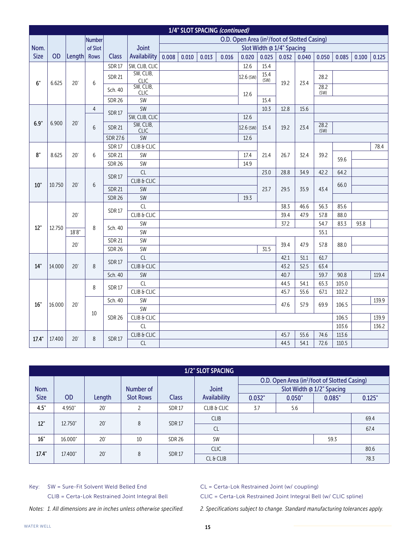|             |        |              |                |                 |                          |       |       |       | 1/4" SLOT SPACING (continued) |                                                          |       |                           |       |              |                |       |       |
|-------------|--------|--------------|----------------|-----------------|--------------------------|-------|-------|-------|-------------------------------|----------------------------------------------------------|-------|---------------------------|-------|--------------|----------------|-------|-------|
|             |        |              | <b>Number</b>  |                 |                          |       |       |       |                               | O.D. Open Area (in <sup>2</sup> /foot of Slotted Casing) |       |                           |       |              |                |       |       |
| Nom.        |        |              | of Slot        |                 | <b>Joint</b>             |       |       |       |                               |                                                          |       | Slot Width @ 1/4" Spacing |       |              |                |       |       |
| <b>Size</b> | OD     | Length       | <b>Rows</b>    | <b>Class</b>    | Availability             | 0.008 | 0.010 | 0.013 | 0.016                         | 0.020                                                    | 0.025 | 0.032                     | 0.040 | 0.050        | 0.085          | 0.100 | 0.125 |
|             |        |              |                | <b>SDR17</b>    | SW, CLIB, CLIC           |       |       |       |                               | 12.6                                                     | 15.4  |                           |       |              |                |       |       |
|             |        |              |                | <b>SDR 21</b>   | SW, CLIB,                |       |       |       |                               | 12.6 (SW)                                                | 15.4  |                           |       | 28.2         |                |       |       |
| 6"          | 6.625  | 20'          | 6              |                 | <b>CLIC</b><br>SW, CLIB, |       |       |       |                               |                                                          | (SW)  | 19.2                      | 23.4  | 28.2         |                |       |       |
|             |        |              |                | Sch. 40         | <b>CLIC</b>              |       |       |       |                               | 12.6                                                     |       |                           |       | (SW)         |                |       |       |
|             |        |              |                | <b>SDR 26</b>   | SW                       |       |       |       |                               |                                                          | 15.4  |                           |       |              |                |       |       |
|             |        |              | $\overline{4}$ | <b>SDR17</b>    | SW                       |       |       |       |                               |                                                          | 10.3  | 12.8                      | 15.6  |              |                |       |       |
|             |        |              |                |                 | SW, CLIB, CLIC           |       |       |       |                               | 12.6                                                     |       |                           |       |              |                |       |       |
| 6.9"        | 6.900  | 20'          | 6              | <b>SDR 21</b>   | SW, CLIB,<br><b>CLIC</b> |       |       |       |                               | 12.6 (SW)                                                | 15.4  | 19.2                      | 23.4  | 28.2<br>(SW) |                |       |       |
|             |        |              |                | <b>SDR 27.6</b> | <b>SW</b>                |       |       |       |                               | 12.6                                                     |       |                           |       |              |                |       |       |
|             |        |              |                | <b>SDR17</b>    | CLIB & CLIC              |       |       |       |                               |                                                          |       |                           |       |              |                |       | 78.4  |
| 8"          | 8.625  | $20^{\circ}$ | 6              | <b>SDR 21</b>   | SW                       |       |       |       |                               | 17.4                                                     | 21.4  | 26.7                      | 32.4  | 39.2         |                |       |       |
|             |        |              |                | <b>SDR 26</b>   | SW                       |       |       |       |                               | 14.9                                                     |       |                           |       |              | 59.6           |       |       |
|             |        |              |                |                 | CL                       |       |       |       |                               |                                                          | 23.0  | 28.8                      | 34.9  | 42.2         | 64.2           |       |       |
|             |        |              |                | <b>SDR17</b>    | CLIB & CLIC              |       |       |       |                               |                                                          |       |                           |       |              |                |       |       |
| 10"         | 10.750 | 20'          | 6              | <b>SDR 21</b>   | SW                       |       |       |       |                               |                                                          | 23.7  | 29.5                      | 35.9  | 43.4         | 66.0           |       |       |
|             |        |              |                | <b>SDR 26</b>   | <b>SW</b>                |       |       |       |                               | 19.3                                                     |       |                           |       |              |                |       |       |
|             |        |              |                | <b>SDR17</b>    | CL                       |       |       |       |                               |                                                          |       | 38.3                      | 46.6  | 56.3         | 85.6           |       |       |
|             |        | 20'          |                |                 | CLIB & CLIC              |       |       |       |                               |                                                          |       | 39.4                      | 47.9  | 57.8         | 88.0           |       |       |
| 12"         | 12.750 |              | 8              | Sch. 40         | <b>SW</b>                |       |       |       |                               |                                                          |       | 37.2                      |       | 54.7         | 83.3           | 93.8  |       |
|             |        | 18'8''       |                |                 | SW                       |       |       |       |                               |                                                          |       |                           |       | 55.1         |                |       |       |
|             |        | $20^{\circ}$ |                | <b>SDR 21</b>   | SW                       |       |       |       |                               |                                                          |       | 39.4                      | 47.9  | 57.8         | 88.0           |       |       |
|             |        |              |                | <b>SDR 26</b>   | SW                       |       |       |       |                               |                                                          | 31.5  |                           |       |              |                |       |       |
|             |        |              |                | <b>SDR17</b>    | CL                       |       |       |       |                               |                                                          |       | 42.1                      | 51.1  | 61.7         |                |       |       |
| 14"         | 14.000 | 20'          | 8              |                 | CLIB & CLIC              |       |       |       |                               |                                                          |       | 43.2                      | 52.5  | 63.4         |                |       |       |
|             |        |              |                | Sch. 40         | SW                       |       |       |       |                               |                                                          |       | 40.7                      |       | 59.7         | 90.8           |       | 119.4 |
|             |        |              | 8              | <b>SDR17</b>    | CL                       |       |       |       |                               |                                                          |       | 44.5                      | 54.1  | 65.3         | 105.0          |       |       |
|             |        |              |                |                 | CLIB & CLIC              |       |       |       |                               |                                                          |       | 45.7                      | 55.6  | 67.1         | 102.2          |       |       |
| 16"         | 16.000 | 20'          |                | Sch. 40         | SW                       |       |       |       |                               |                                                          |       | 47.6                      | 57.9  | 69.9         | 106.5          |       | 139.9 |
|             |        |              | 10             |                 | <b>SW</b>                |       |       |       |                               |                                                          |       |                           |       |              |                |       |       |
|             |        |              |                | <b>SDR 26</b>   | CLIB & CLIC              |       |       |       |                               |                                                          |       |                           |       |              | 106.5          |       | 139.9 |
|             |        |              |                |                 | CL                       |       |       |       |                               |                                                          |       | 45.7                      | 55.6  | 74.6         | 103.6<br>113.6 |       | 136.2 |
| 17.4"       | 17.400 | 20'          | 8              | <b>SDR17</b>    | CLIB & CLIC<br>CL        |       |       |       |                               |                                                          |       | 44.5                      |       |              |                |       |       |
|             |        |              |                |                 |                          |       |       |       |                               |                                                          |       | 54.1                      | 72.6  | 110.5        |                |       |       |

|             | 1/2" SLOT SPACING |              |                  |               |                     |                                                          |        |                           |        |  |  |  |  |  |
|-------------|-------------------|--------------|------------------|---------------|---------------------|----------------------------------------------------------|--------|---------------------------|--------|--|--|--|--|--|
|             |                   |              |                  |               |                     | O.D. Open Area (in <sup>2</sup> /foot of Slotted Casing) |        |                           |        |  |  |  |  |  |
| Nom.        |                   |              | Number of        |               | <b>Joint</b>        |                                                          |        | Slot Width @ 1/2" Spacing |        |  |  |  |  |  |
| <b>Size</b> | <b>OD</b>         | Length       | <b>Slot Rows</b> | <b>Class</b>  | <b>Availability</b> | 0.032"                                                   | 0.050" | 0.085"                    | 0.125" |  |  |  |  |  |
| 4.5"        | 4.950"            | 20'          | ำ                | <b>SDR17</b>  | CLIB & CLIC         | 3.7                                                      | 5.6    |                           |        |  |  |  |  |  |
| 12"         |                   |              |                  |               | <b>CLIB</b>         |                                                          |        |                           | 69.4   |  |  |  |  |  |
|             | 12.750"           | 20'          | 8                | <b>SDR17</b>  | <b>CL</b>           |                                                          | 67.4   |                           |        |  |  |  |  |  |
| 16"         | 16.000"           | $20^{\circ}$ | 10               | <b>SDR 26</b> | <b>SW</b>           |                                                          |        | 59.3                      |        |  |  |  |  |  |
|             |                   | 20'          | 8                | <b>SDR17</b>  | <b>CLIC</b>         |                                                          | 80.6   |                           |        |  |  |  |  |  |
| 17.4"       | 17.400"           |              |                  |               | $CL$ & $CLIB$       |                                                          |        |                           | 78.3   |  |  |  |  |  |

Key: SW = Sure-Fit Solvent Weld Belled End CL = Certa-Lok Restrained Joint (w/ coupling)

CLIB = Certa-Lok Restrained Joint Integral Bell CLIC = Certa-Lok Restrained Joint Integral Bell (w/ CLIC spline)

*Notes: 1. All dimensions are in inches unless otherwise specified. 2. Specifications subject to change. Standard manufacturing tolerances apply.*